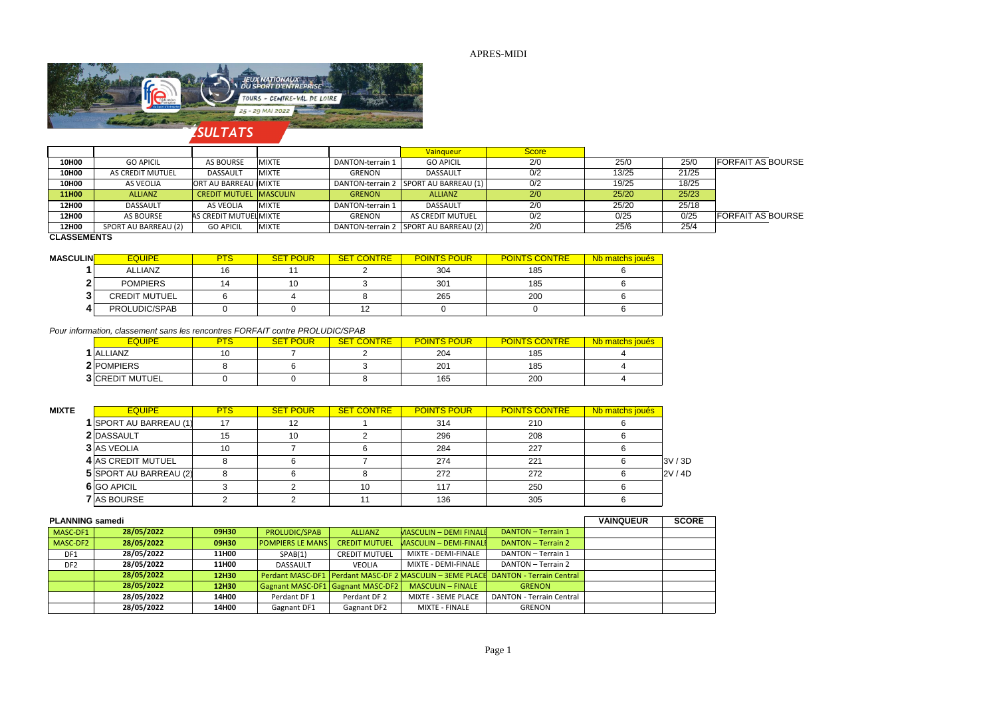## APRES-MIDI



|                    |                      |                               |              |                  | <b>Vainqueur</b>                        | <b>Score</b> |       |       |                          |
|--------------------|----------------------|-------------------------------|--------------|------------------|-----------------------------------------|--------------|-------|-------|--------------------------|
| <b>10H00</b>       | <b>GO APICIL</b>     | AS BOURSE                     | <b>MIXTE</b> | DANTON-terrain 1 | <b>GO APICIL</b>                        | 2/0          | 25/0  | 25/0  | <b>FORFAIT AS BOURSE</b> |
| 10H00              | AS CREDIT MUTUEL     | <b>DASSAULT</b>               | <b>MIXTE</b> | GRENON           | DASSAULT                                | 0/2          | 13/25 | 21/25 |                          |
| 10H00              | AS VEOLIA            | ORT AU BARREAU IMIXTE         |              |                  | DANTON-terrain 2   SPORT AU BARREAU (1) | 0/2          | 19/25 | 18/25 |                          |
| <b>11H00</b>       | <b>ALLIANZ</b>       | <b>CREDIT MUTUEL MASCULIN</b> |              | <b>GRENON</b>    | <b>ALLIANZ</b>                          | 2/0          | 25/20 | 25/23 |                          |
| 12H00              | DASSAULT             | AS VEOLIA                     | <b>MIXTE</b> | DANTON-terrain 1 | DASSAULT                                | 2/0          | 25/20 | 25/18 |                          |
| 12H00              | AS BOURSE            | AS CREDIT MUTUEL MIXTE        |              | <b>GRENON</b>    | AS CREDIT MUTUEL                        | 0/2          | 0/25  | 0/25  | <b>FORFAIT AS BOURSE</b> |
| <b>12H00</b>       | SPORT AU BARREAU (2) | <b>GO APICIL</b>              | <b>MIXTE</b> |                  | DANTON-terrain 2   SPORT AU BARREAU (2) | 2/0          | 25/6  | 25/4  |                          |
| <b>CLACCEMENTS</b> |                      |                               |              |                  |                                         |              |       |       |                          |

#### **CLASSEMENTS**

| MASCULIN <mark>I</mark> | <b>EQUIPE</b>        | <b>PTS</b> | <b>SET POUR</b> | <b>SET CONTRE</b> | <b>POINTS POUR</b> | <b>POINTS CONTRE</b> | Nb matchs joués |
|-------------------------|----------------------|------------|-----------------|-------------------|--------------------|----------------------|-----------------|
|                         | <b>ALLIANZ</b>       | 16         |                 |                   | 304                | 185                  |                 |
|                         | <b>POMPIERS</b>      |            | 10              |                   | 301                | 185                  |                 |
| -                       | <b>CREDIT MUTUEL</b> |            |                 |                   | 265                | 200                  |                 |
|                         | PROLUDIC/SPAB        |            |                 | 12                |                    |                      |                 |

#### *Pour information, classement sans les rencontres FORFAIT contre PROLUDIC/SPAB*

| <b>EQUIPE</b>          | PTS. | <b>SET POUR</b> | <b>SET CONTRE</b> | <b>POINTS POUR</b> | <b>POINTS CONTRE</b> | Nb matchs joués |
|------------------------|------|-----------------|-------------------|--------------------|----------------------|-----------------|
| 1 ALLIANZ              | 10   |                 |                   | 204                | 185                  |                 |
| 2 POMPIERS             |      |                 |                   | 201                | 185                  |                 |
| <b>3 CREDIT MUTUEL</b> |      |                 |                   | 165                | 200                  |                 |

| <b>MIXTE</b> | <b>EQUIPE</b>          | <b>PTS</b> | <b>SET POUR</b> | <b>SET CONTRE</b> | <b>POINTS POUR</b> | <b>POINTS CONTRE</b> | Nb matchs joués |       |
|--------------|------------------------|------------|-----------------|-------------------|--------------------|----------------------|-----------------|-------|
|              | 1 SPORT AU BARREAU (1) | 17         | 12              |                   | 314                | 210                  |                 |       |
|              | 2 DASSAULT             | 15         | 10              |                   | 296                | 208                  |                 |       |
|              | <b>3 AS VEOLIA</b>     | 10         |                 |                   | 284                | 227                  |                 |       |
|              | 4 AS CREDIT MUTUEL     |            |                 |                   | 274                | 221                  |                 | 3V/3D |
|              | 5 SPORT AU BARREAU (2) |            |                 |                   | 272                | 272                  |                 | 2V/4D |
|              | 6 GO APICIL            |            |                 | 10                | 117                | 250                  |                 |       |
|              | <b>7</b> AS BOURSE     |            |                 |                   | 136                | 305                  |                 |       |

| <b>PLANNING samedi</b> | <b>VAINQUEUR</b> | <b>SCORE</b> |                                   |                      |                               |                                                                                     |  |  |
|------------------------|------------------|--------------|-----------------------------------|----------------------|-------------------------------|-------------------------------------------------------------------------------------|--|--|
| MASC-DF1               | 28/05/2022       | 09H30        | PROLUDIC/SPAB                     | <b>ALLIANZ</b>       | <b>MASCULIN - DEMI FINALI</b> | DANTON - Terrain 1                                                                  |  |  |
| MASC-DF2               | 28/05/2022       | 09H30        | <b>POMPIERS LE MANS</b>           | <b>CREDIT MUTUEL</b> | MASCULIN - DEMI-FINALI        | DANTON - Terrain 2                                                                  |  |  |
| DF1                    | 28/05/2022       | <b>11H00</b> | SPAB(1)                           | CREDIT MUTUEL        | MIXTE - DEMI-FINALE           | DANTON - Terrain 1                                                                  |  |  |
| DF <sub>2</sub>        | 28/05/2022       | <b>11H00</b> | <b>DASSAULT</b>                   | <b>VEOLIA</b>        | MIXTE - DEMI-FINALE           | DANTON - Terrain 2                                                                  |  |  |
|                        | 28/05/2022       | 12H30        |                                   |                      |                               | Perdant MASC-DF1   Perdant MASC-DF 2 MASCULIN - 3EME PLACE DANTON - Terrain Central |  |  |
|                        | 28/05/2022       | 12H30        | Gagnant MASC-DF1 Gagnant MASC-DF2 |                      | <b>MASCULIN - FINALE</b>      | <b>GRENON</b>                                                                       |  |  |
|                        | 28/05/2022       | 14H00        | Perdant DF 1                      | Perdant DF 2         | MIXTE - 3EME PLACE            | <b>DANTON - Terrain Central</b>                                                     |  |  |
|                        | 28/05/2022       | 14H00        | Gagnant DF1                       | <b>Gagnant DF2</b>   | MIXTE - FINALE                | <b>GRENON</b>                                                                       |  |  |

# *RÉSULTATS*